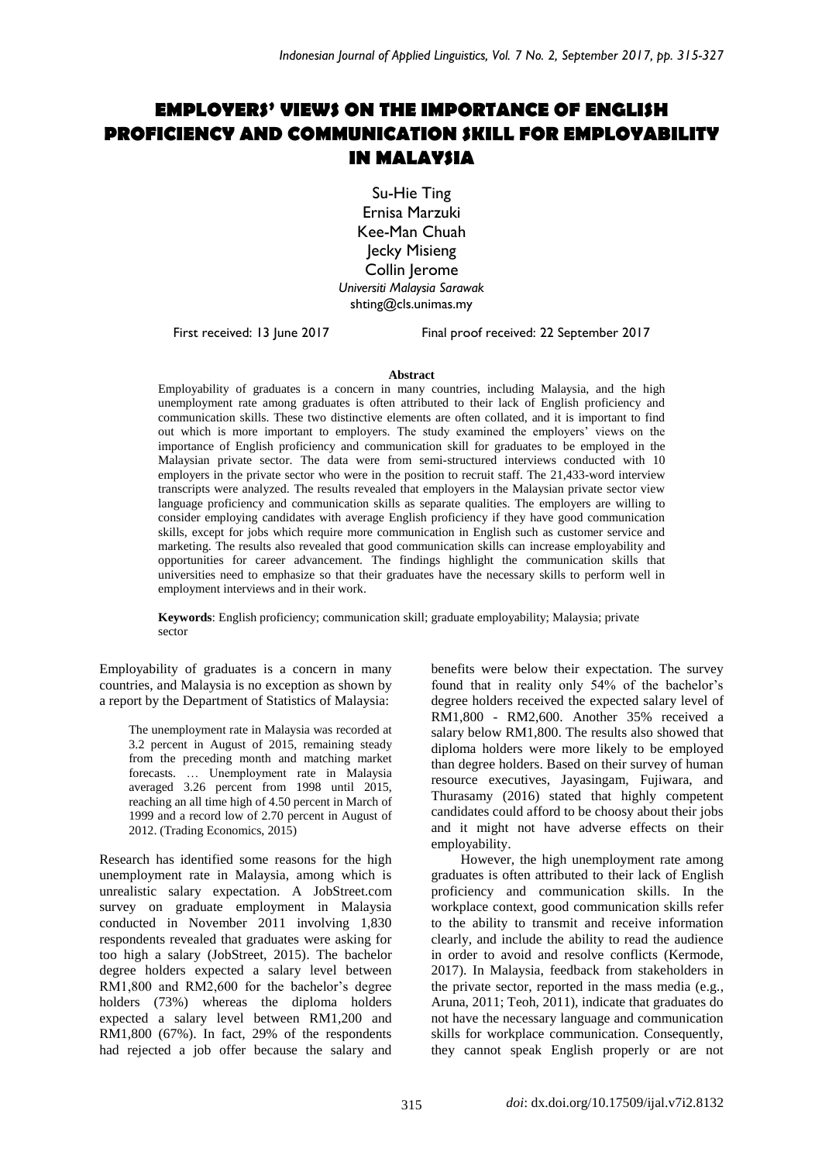# **EMPLOYERS' VIEWS ON THE IMPORTANCE OF ENGLISH PROFICIENCY AND COMMUNICATION SKILL FOR EMPLOYABILITY IN MALAYSIA**

Su-Hie Ting Ernisa Marzuki Kee-Man Chuah Jecky Misieng Collin Jerome *Universiti Malaysia Sarawak* shting@cls.unimas.my

First received: 13 June 2017 Final proof received: 22 September 2017

#### **Abstract**

Employability of graduates is a concern in many countries, including Malaysia, and the high unemployment rate among graduates is often attributed to their lack of English proficiency and communication skills. These two distinctive elements are often collated, and it is important to find out which is more important to employers. The study examined the employers' views on the importance of English proficiency and communication skill for graduates to be employed in the Malaysian private sector. The data were from semi-structured interviews conducted with 10 employers in the private sector who were in the position to recruit staff. The 21,433-word interview transcripts were analyzed. The results revealed that employers in the Malaysian private sector view language proficiency and communication skills as separate qualities. The employers are willing to consider employing candidates with average English proficiency if they have good communication skills, except for jobs which require more communication in English such as customer service and marketing. The results also revealed that good communication skills can increase employability and opportunities for career advancement. The findings highlight the communication skills that universities need to emphasize so that their graduates have the necessary skills to perform well in employment interviews and in their work.

**Keywords**: English proficiency; communication skill; graduate employability; Malaysia; private sector

Employability of graduates is a concern in many countries, and Malaysia is no exception as shown by a report by the Department of Statistics of Malaysia:

> The unemployment rate in Malaysia was recorded at 3.2 percent in August of 2015, remaining steady from the preceding month and matching market forecasts. … Unemployment rate in Malaysia averaged 3.26 percent from 1998 until 2015, reaching an all time high of 4.50 percent in March of 1999 and a record low of 2.70 percent in August of 2012. (Trading Economics, 2015)

Research has identified some reasons for the high unemployment rate in Malaysia, among which is unrealistic salary expectation. A JobStreet.com survey on graduate employment in Malaysia conducted in November 2011 involving 1,830 respondents revealed that graduates were asking for too high a salary (JobStreet, 2015). The bachelor degree holders expected a salary level between RM1,800 and RM2,600 for the bachelor's degree holders (73%) whereas the diploma holders expected a salary level between RM1,200 and RM1,800 (67%). In fact, 29% of the respondents had rejected a job offer because the salary and benefits were below their expectation. The survey found that in reality only 54% of the bachelor's degree holders received the expected salary level of RM1,800 - RM2,600. Another 35% received a salary below RM1,800. The results also showed that diploma holders were more likely to be employed than degree holders. Based on their survey of human resource executives, Jayasingam, Fujiwara, and Thurasamy (2016) stated that highly competent candidates could afford to be choosy about their jobs and it might not have adverse effects on their employability.

However, the high unemployment rate among graduates is often attributed to their lack of English proficiency and communication skills. In the workplace context, good communication skills refer to the ability to transmit and receive information clearly, and include the ability to read the audience in order to avoid and resolve conflicts (Kermode, 2017). In Malaysia, feedback from stakeholders in the private sector, reported in the mass media (e.g., Aruna, 2011; Teoh, 2011), indicate that graduates do not have the necessary language and communication skills for workplace communication. Consequently, they cannot speak English properly or are not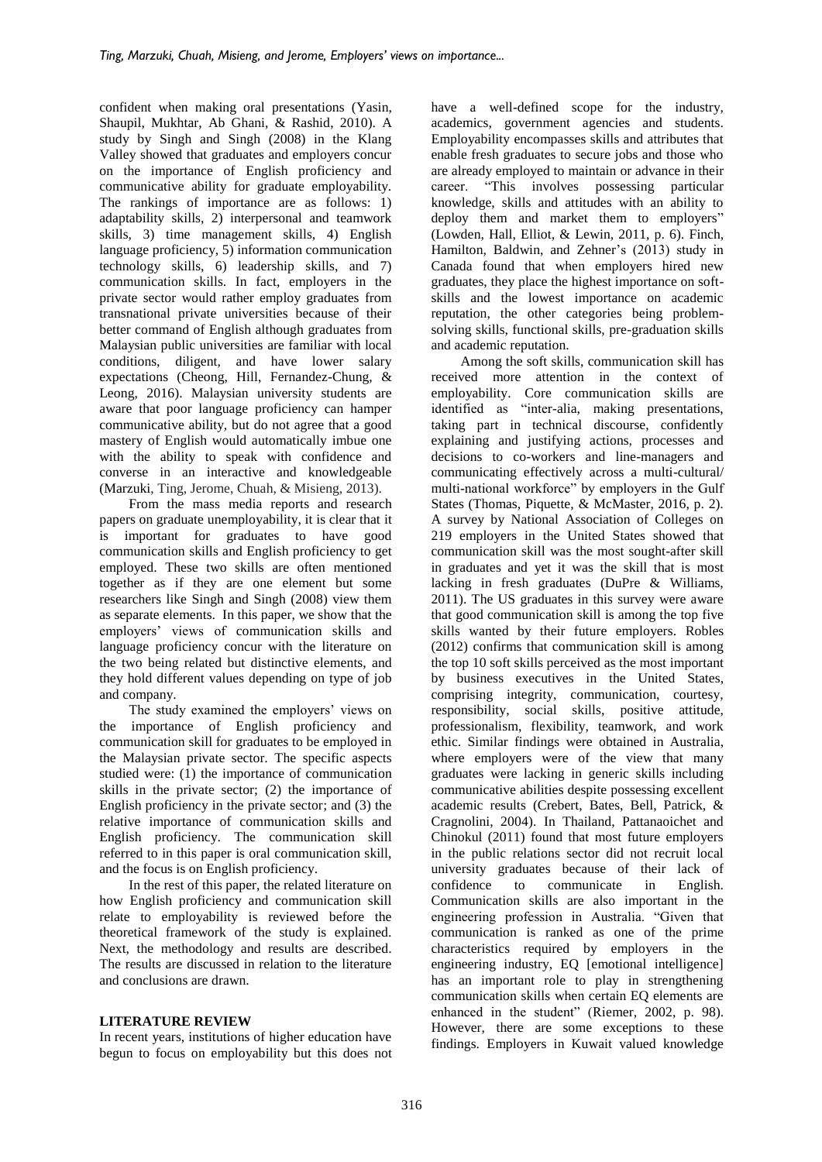confident when making oral presentations (Yasin, Shaupil, Mukhtar, Ab Ghani, & Rashid, 2010). A study by Singh and Singh (2008) in the Klang Valley showed that graduates and employers concur on the importance of English proficiency and communicative ability for graduate employability. The rankings of importance are as follows: 1) adaptability skills, 2) interpersonal and teamwork skills, 3) time management skills, 4) English language proficiency, 5) information communication technology skills, 6) leadership skills, and 7) communication skills. In fact, employers in the private sector would rather employ graduates from transnational private universities because of their better command of English although graduates from Malaysian public universities are familiar with local conditions, diligent, and have lower salary expectations (Cheong, Hill, Fernandez-Chung, & Leong, 2016). Malaysian university students are aware that poor language proficiency can hamper communicative ability, but do not agree that a good mastery of English would automatically imbue one with the ability to speak with confidence and converse in an interactive and knowledgeable (Marzuki, Ting, Jerome, Chuah, & Misieng, 2013).

From the mass media reports and research papers on graduate unemployability, it is clear that it is important for graduates to have good communication skills and English proficiency to get employed. These two skills are often mentioned together as if they are one element but some researchers like Singh and Singh (2008) view them as separate elements. In this paper, we show that the employers' views of communication skills and language proficiency concur with the literature on the two being related but distinctive elements, and they hold different values depending on type of job and company.

The study examined the employers' views on the importance of English proficiency and communication skill for graduates to be employed in the Malaysian private sector. The specific aspects studied were: (1) the importance of communication skills in the private sector; (2) the importance of English proficiency in the private sector; and (3) the relative importance of communication skills and English proficiency. The communication skill referred to in this paper is oral communication skill, and the focus is on English proficiency.

In the rest of this paper, the related literature on how English proficiency and communication skill relate to employability is reviewed before the theoretical framework of the study is explained. Next, the methodology and results are described. The results are discussed in relation to the literature and conclusions are drawn.

### **LITERATURE REVIEW**

In recent years, institutions of higher education have begun to focus on employability but this does not have a well-defined scope for the industry, academics, government agencies and students. Employability encompasses skills and attributes that enable fresh graduates to secure jobs and those who are already employed to maintain or advance in their career. "This involves possessing particular knowledge, skills and attitudes with an ability to deploy them and market them to employers" (Lowden, Hall, Elliot, & Lewin, 2011, p. 6). Finch, Hamilton, Baldwin, and Zehner's (2013) study in Canada found that when employers hired new graduates, they place the highest importance on softskills and the lowest importance on academic reputation, the other categories being problemsolving skills, functional skills, pre-graduation skills and academic reputation.

Among the soft skills, communication skill has received more attention in the context of employability. Core communication skills are identified as "inter-alia, making presentations, taking part in technical discourse, confidently explaining and justifying actions, processes and decisions to co-workers and line-managers and communicating effectively across a multi-cultural/ multi-national workforce" by employers in the Gulf States (Thomas, Piquette, & McMaster, 2016, p. 2). A survey by National Association of Colleges on 219 employers in the United States showed that communication skill was the most sought-after skill in graduates and yet it was the skill that is most lacking in fresh graduates (DuPre & Williams, 2011). The US graduates in this survey were aware that good communication skill is among the top five skills wanted by their future employers. Robles (2012) confirms that communication skill is among the top 10 soft skills perceived as the most important by business executives in the United States, comprising integrity, communication, courtesy, responsibility, social skills, positive attitude, professionalism, flexibility, teamwork, and work ethic. Similar findings were obtained in Australia, where employers were of the view that many graduates were lacking in generic skills including communicative abilities despite possessing excellent academic results (Crebert, Bates, Bell, Patrick, & Cragnolini, 2004). In Thailand, Pattanaoichet and Chinokul (2011) found that most future employers in the public relations sector did not recruit local university graduates because of their lack of confidence to communicate in English. Communication skills are also important in the engineering profession in Australia. "Given that communication is ranked as one of the prime characteristics required by employers in the engineering industry, EQ [emotional intelligence] has an important role to play in strengthening communication skills when certain EQ elements are enhanced in the student" (Riemer, 2002, p. 98). However, there are some exceptions to these findings. Employers in Kuwait valued knowledge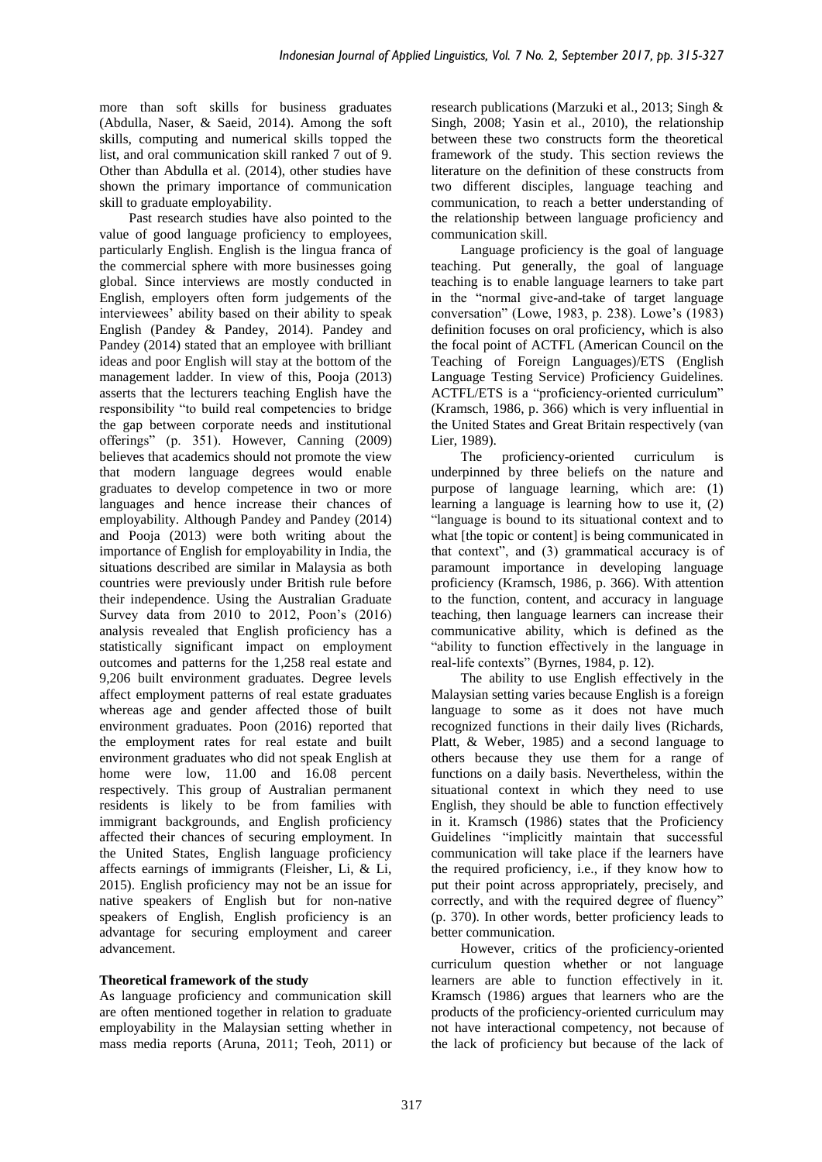more than soft skills for business graduates (Abdulla, Naser, & Saeid, 2014). Among the soft skills, computing and numerical skills topped the list, and oral communication skill ranked 7 out of 9. Other than Abdulla et al. (2014), other studies have shown the primary importance of communication skill to graduate employability.

Past research studies have also pointed to the value of good language proficiency to employees, particularly English. English is the lingua franca of the commercial sphere with more businesses going global. Since interviews are mostly conducted in English, employers often form judgements of the interviewees' ability based on their ability to speak English (Pandey & Pandey, 2014). Pandey and Pandey (2014) stated that an employee with brilliant ideas and poor English will stay at the bottom of the management ladder. In view of this, Pooja (2013) asserts that the lecturers teaching English have the responsibility "to build real competencies to bridge the gap between corporate needs and institutional offerings" (p. 351). However, Canning (2009) believes that academics should not promote the view that modern language degrees would enable graduates to develop competence in two or more languages and hence increase their chances of employability. Although Pandey and Pandey (2014) and Pooja (2013) were both writing about the importance of English for employability in India, the situations described are similar in Malaysia as both countries were previously under British rule before their independence. Using the Australian Graduate Survey data from 2010 to 2012, Poon's (2016) analysis revealed that English proficiency has a statistically significant impact on employment outcomes and patterns for the 1,258 real estate and 9,206 built environment graduates. Degree levels affect employment patterns of real estate graduates whereas age and gender affected those of built environment graduates. Poon (2016) reported that the employment rates for real estate and built environment graduates who did not speak English at home were low, 11.00 and 16.08 percent respectively. This group of Australian permanent residents is likely to be from families with immigrant backgrounds, and English proficiency affected their chances of securing employment. In the United States, English language proficiency affects earnings of immigrants (Fleisher, Li, & Li, 2015). English proficiency may not be an issue for native speakers of English but for non-native speakers of English, English proficiency is an advantage for securing employment and career advancement.

# **Theoretical framework of the study**

As language proficiency and communication skill are often mentioned together in relation to graduate employability in the Malaysian setting whether in mass media reports (Aruna, 2011; Teoh, 2011) or

research publications (Marzuki et al., 2013; Singh & Singh, 2008; Yasin et al., 2010), the relationship between these two constructs form the theoretical framework of the study. This section reviews the literature on the definition of these constructs from two different disciples, language teaching and communication, to reach a better understanding of the relationship between language proficiency and communication skill.

Language proficiency is the goal of language teaching. Put generally, the goal of language teaching is to enable language learners to take part in the "normal give-and-take of target language conversation" (Lowe, 1983, p. 238). Lowe's (1983) definition focuses on oral proficiency, which is also the focal point of ACTFL (American Council on the Teaching of Foreign Languages)/ETS (English Language Testing Service) Proficiency Guidelines. ACTFL/ETS is a "proficiency-oriented curriculum" (Kramsch, 1986, p. 366) which is very influential in the United States and Great Britain respectively (van Lier, 1989).

The proficiency-oriented curriculum is underpinned by three beliefs on the nature and purpose of language learning, which are: (1) learning a language is learning how to use it, (2) "language is bound to its situational context and to what [the topic or content] is being communicated in that context", and (3) grammatical accuracy is of paramount importance in developing language proficiency (Kramsch, 1986, p. 366). With attention to the function, content, and accuracy in language teaching, then language learners can increase their communicative ability, which is defined as the "ability to function effectively in the language in real-life contexts" (Byrnes, 1984, p. 12).

The ability to use English effectively in the Malaysian setting varies because English is a foreign language to some as it does not have much recognized functions in their daily lives (Richards, Platt, & Weber, 1985) and a second language to others because they use them for a range of functions on a daily basis. Nevertheless, within the situational context in which they need to use English, they should be able to function effectively in it. Kramsch (1986) states that the Proficiency Guidelines "implicitly maintain that successful communication will take place if the learners have the required proficiency, i.e., if they know how to put their point across appropriately, precisely, and correctly, and with the required degree of fluency" (p. 370). In other words, better proficiency leads to better communication.

However, critics of the proficiency-oriented curriculum question whether or not language learners are able to function effectively in it. Kramsch (1986) argues that learners who are the products of the proficiency-oriented curriculum may not have interactional competency, not because of the lack of proficiency but because of the lack of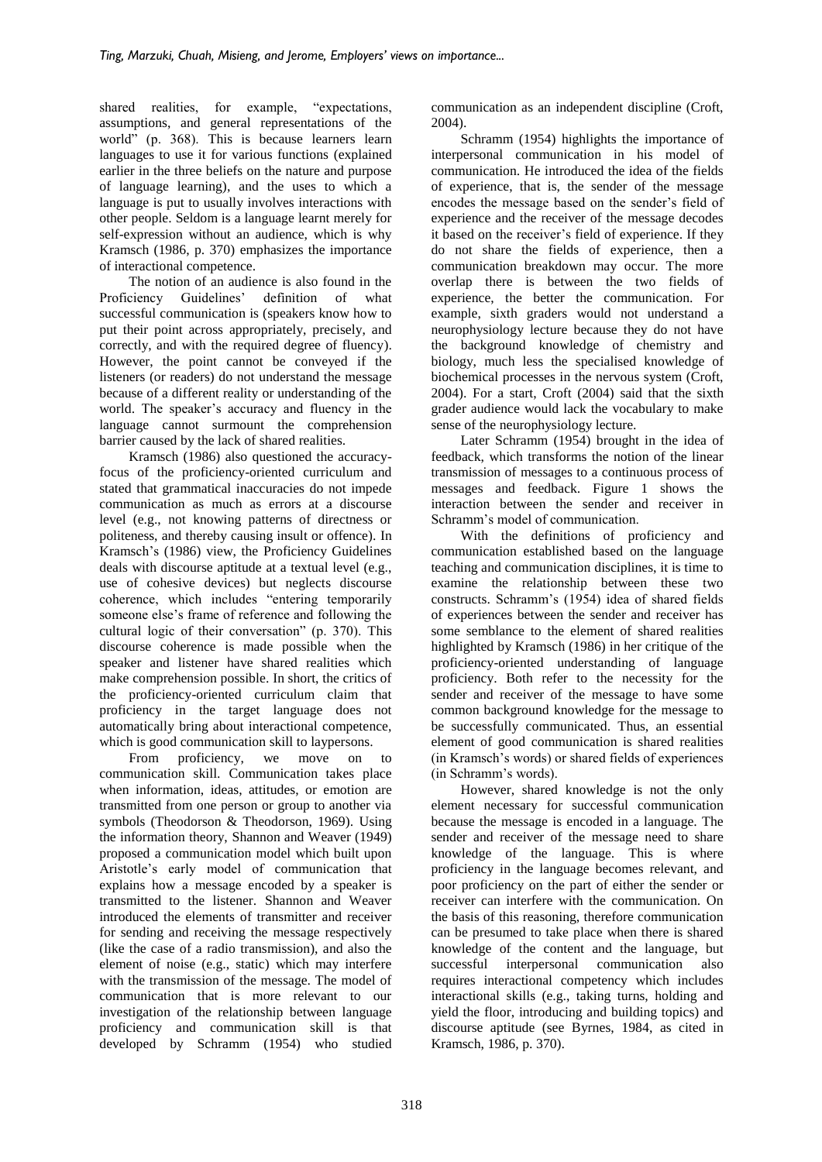shared realities, for example, "expectations, assumptions, and general representations of the world" (p. 368). This is because learners learn languages to use it for various functions (explained earlier in the three beliefs on the nature and purpose of language learning), and the uses to which a language is put to usually involves interactions with other people. Seldom is a language learnt merely for self-expression without an audience, which is why Kramsch (1986, p. 370) emphasizes the importance of interactional competence.

The notion of an audience is also found in the Proficiency Guidelines' definition of what successful communication is (speakers know how to put their point across appropriately, precisely, and correctly, and with the required degree of fluency). However, the point cannot be conveyed if the listeners (or readers) do not understand the message because of a different reality or understanding of the world. The speaker's accuracy and fluency in the language cannot surmount the comprehension barrier caused by the lack of shared realities.

Kramsch (1986) also questioned the accuracyfocus of the proficiency-oriented curriculum and stated that grammatical inaccuracies do not impede communication as much as errors at a discourse level (e.g., not knowing patterns of directness or politeness, and thereby causing insult or offence). In Kramsch's (1986) view, the Proficiency Guidelines deals with discourse aptitude at a textual level (e.g., use of cohesive devices) but neglects discourse coherence, which includes "entering temporarily someone else's frame of reference and following the cultural logic of their conversation" (p. 370). This discourse coherence is made possible when the speaker and listener have shared realities which make comprehension possible. In short, the critics of the proficiency-oriented curriculum claim that proficiency in the target language does not automatically bring about interactional competence, which is good communication skill to laypersons.

From proficiency, we move on to communication skill. Communication takes place when information, ideas, attitudes, or emotion are transmitted from one person or group to another via symbols (Theodorson & Theodorson, 1969). Using the information theory, Shannon and Weaver (1949) proposed a communication model which built upon Aristotle's early model of communication that explains how a message encoded by a speaker is transmitted to the listener. Shannon and Weaver introduced the elements of transmitter and receiver for sending and receiving the message respectively (like the case of a radio transmission), and also the element of noise (e.g., static) which may interfere with the transmission of the message. The model of communication that is more relevant to our investigation of the relationship between language proficiency and communication skill is that developed by Schramm (1954) who studied

communication as an independent discipline (Croft, 2004).

Schramm (1954) highlights the importance of interpersonal communication in his model of communication. He introduced the idea of the fields of experience, that is, the sender of the message encodes the message based on the sender's field of experience and the receiver of the message decodes it based on the receiver's field of experience. If they do not share the fields of experience, then a communication breakdown may occur. The more overlap there is between the two fields of experience, the better the communication. For example, sixth graders would not understand a neurophysiology lecture because they do not have the background knowledge of chemistry and biology, much less the specialised knowledge of biochemical processes in the nervous system (Croft, 2004). For a start, Croft (2004) said that the sixth grader audience would lack the vocabulary to make sense of the neurophysiology lecture.

Later Schramm (1954) brought in the idea of feedback, which transforms the notion of the linear transmission of messages to a continuous process of messages and feedback. Figure 1 shows the interaction between the sender and receiver in Schramm's model of communication.

With the definitions of proficiency and communication established based on the language teaching and communication disciplines, it is time to examine the relationship between these two constructs. Schramm's (1954) idea of shared fields of experiences between the sender and receiver has some semblance to the element of shared realities highlighted by Kramsch (1986) in her critique of the proficiency-oriented understanding of language proficiency. Both refer to the necessity for the sender and receiver of the message to have some common background knowledge for the message to be successfully communicated. Thus, an essential element of good communication is shared realities (in Kramsch's words) or shared fields of experiences (in Schramm's words).

However, shared knowledge is not the only element necessary for successful communication because the message is encoded in a language. The sender and receiver of the message need to share knowledge of the language. This is where proficiency in the language becomes relevant, and poor proficiency on the part of either the sender or receiver can interfere with the communication. On the basis of this reasoning, therefore communication can be presumed to take place when there is shared knowledge of the content and the language, but successful interpersonal communication also requires interactional competency which includes interactional skills (e.g., taking turns, holding and yield the floor, introducing and building topics) and discourse aptitude (see Byrnes, 1984, as cited in Kramsch, 1986, p. 370).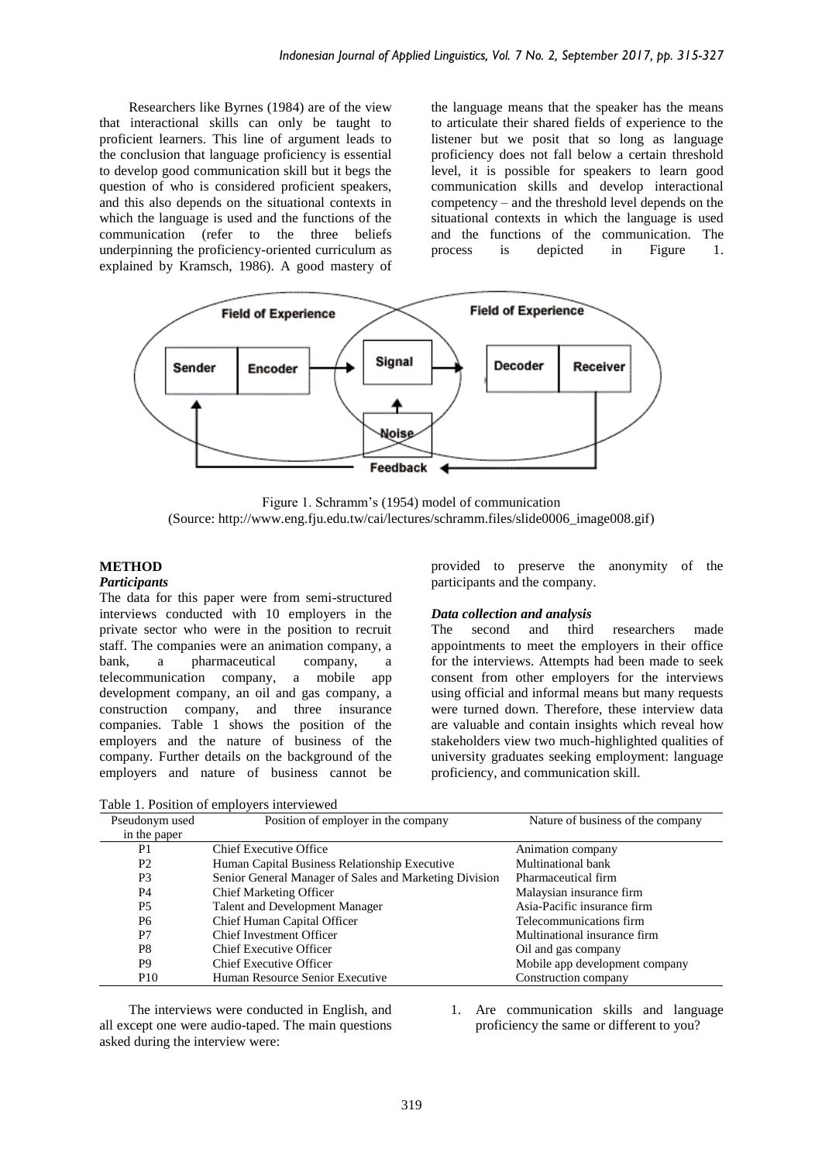Researchers like Byrnes (1984) are of the view that interactional skills can only be taught to proficient learners. This line of argument leads to the conclusion that language proficiency is essential to develop good communication skill but it begs the question of who is considered proficient speakers, and this also depends on the situational contexts in which the language is used and the functions of the communication (refer to the three beliefs underpinning the proficiency-oriented curriculum as explained by Kramsch, 1986). A good mastery of

the language means that the speaker has the means to articulate their shared fields of experience to the listener but we posit that so long as language proficiency does not fall below a certain threshold level, it is possible for speakers to learn good communication skills and develop interactional competency – and the threshold level depends on the situational contexts in which the language is used and the functions of the communication. The process is depicted in Figure 1. process is depicted in Figure 1.



Figure 1. Schramm's (1954) model of communication (Source: http://www.eng.fju.edu.tw/cai/lectures/schramm.files/slide0006\_image008.gif)

### **METHOD**

#### *Participants*

The data for this paper were from semi-structured interviews conducted with 10 employers in the private sector who were in the position to recruit staff. The companies were an animation company, a bank, a pharmaceutical company, a telecommunication company, a mobile app development company, an oil and gas company, a construction company, and three insurance companies. Table 1 shows the position of the employers and the nature of business of the company. Further details on the background of the employers and nature of business cannot be

Table 1. Position of employers interviewed

provided to preserve the anonymity of the participants and the company.

#### *Data collection and analysis*

The second and third researchers made appointments to meet the employers in their office for the interviews. Attempts had been made to seek consent from other employers for the interviews using official and informal means but many requests were turned down. Therefore, these interview data are valuable and contain insights which reveal how stakeholders view two much-highlighted qualities of university graduates seeking employment: language proficiency, and communication skill.

| Pseudonym used  | Position of employer in the company                                  | Nature of business of the company |  |
|-----------------|----------------------------------------------------------------------|-----------------------------------|--|
| in the paper    |                                                                      |                                   |  |
| P1              | <b>Chief Executive Office</b>                                        | Animation company                 |  |
| P <sub>2</sub>  | Human Capital Business Relationship Executive                        | Multinational bank                |  |
| P <sub>3</sub>  | Senior General Manager of Sales and Marketing Division               | Pharmaceutical firm               |  |
| P4              | <b>Chief Marketing Officer</b>                                       | Malaysian insurance firm          |  |
| P5              | Asia-Pacific insurance firm<br><b>Talent and Development Manager</b> |                                   |  |
| P6              | Chief Human Capital Officer<br>Telecommunications firm               |                                   |  |
| P7              | <b>Chief Investment Officer</b><br>Multinational insurance firm      |                                   |  |
| P <sub>8</sub>  | <b>Chief Executive Officer</b>                                       | Oil and gas company               |  |
| P <sub>9</sub>  | Chief Executive Officer                                              | Mobile app development company    |  |
| P <sub>10</sub> | Human Resource Senior Executive                                      | Construction company              |  |

The interviews were conducted in English, and all except one were audio-taped. The main questions asked during the interview were:

1. Are communication skills and language proficiency the same or different to you?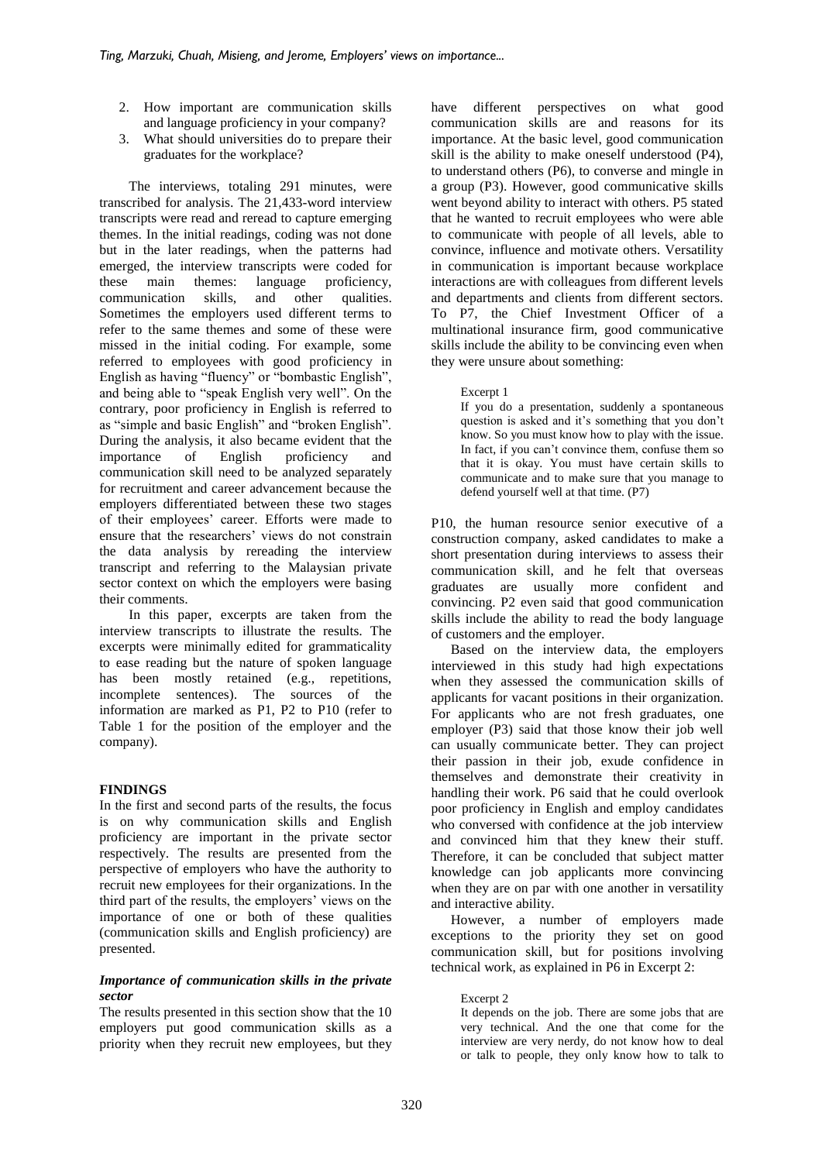- 2. How important are communication skills and language proficiency in your company?
- 3. What should universities do to prepare their graduates for the workplace?

The interviews, totaling 291 minutes, were transcribed for analysis. The 21,433-word interview transcripts were read and reread to capture emerging themes. In the initial readings, coding was not done but in the later readings, when the patterns had emerged, the interview transcripts were coded for these main themes: language proficiency, communication skills, and other qualities. Sometimes the employers used different terms to refer to the same themes and some of these were missed in the initial coding. For example, some referred to employees with good proficiency in English as having "fluency" or "bombastic English", and being able to "speak English very well". On the contrary, poor proficiency in English is referred to as "simple and basic English" and "broken English". During the analysis, it also became evident that the importance of English proficiency and communication skill need to be analyzed separately for recruitment and career advancement because the employers differentiated between these two stages of their employees' career. Efforts were made to ensure that the researchers' views do not constrain the data analysis by rereading the interview transcript and referring to the Malaysian private sector context on which the employers were basing their comments.

In this paper, excerpts are taken from the interview transcripts to illustrate the results. The excerpts were minimally edited for grammaticality to ease reading but the nature of spoken language has been mostly retained (e.g., repetitions, incomplete sentences). The sources of the information are marked as P1, P2 to P10 (refer to Table 1 for the position of the employer and the company).

# **FINDINGS**

In the first and second parts of the results, the focus is on why communication skills and English proficiency are important in the private sector respectively. The results are presented from the perspective of employers who have the authority to recruit new employees for their organizations. In the third part of the results, the employers' views on the importance of one or both of these qualities (communication skills and English proficiency) are presented.

### *Importance of communication skills in the private sector*

The results presented in this section show that the 10 employers put good communication skills as a priority when they recruit new employees, but they have different perspectives on what good communication skills are and reasons for its importance. At the basic level, good communication skill is the ability to make oneself understood (P4), to understand others (P6), to converse and mingle in a group (P3). However, good communicative skills went beyond ability to interact with others. P5 stated that he wanted to recruit employees who were able to communicate with people of all levels, able to convince, influence and motivate others. Versatility in communication is important because workplace interactions are with colleagues from different levels and departments and clients from different sectors. To P7, the Chief Investment Officer of a multinational insurance firm, good communicative skills include the ability to be convincing even when they were unsure about something:

#### Excerpt 1

If you do a presentation, suddenly a spontaneous question is asked and it's something that you don't know. So you must know how to play with the issue. In fact, if you can't convince them, confuse them so that it is okay. You must have certain skills to communicate and to make sure that you manage to defend yourself well at that time. (P7)

P10, the human resource senior executive of a construction company, asked candidates to make a short presentation during interviews to assess their communication skill, and he felt that overseas graduates are usually more confident and convincing. P2 even said that good communication skills include the ability to read the body language of customers and the employer.

Based on the interview data, the employers interviewed in this study had high expectations when they assessed the communication skills of applicants for vacant positions in their organization. For applicants who are not fresh graduates, one employer (P3) said that those know their job well can usually communicate better. They can project their passion in their job, exude confidence in themselves and demonstrate their creativity in handling their work. P6 said that he could overlook poor proficiency in English and employ candidates who conversed with confidence at the job interview and convinced him that they knew their stuff. Therefore, it can be concluded that subject matter knowledge can job applicants more convincing when they are on par with one another in versatility and interactive ability.

However, a number of employers made exceptions to the priority they set on good communication skill, but for positions involving technical work, as explained in P6 in Excerpt 2:

Excerpt 2

It depends on the job. There are some jobs that are very technical. And the one that come for the interview are very nerdy, do not know how to deal or talk to people, they only know how to talk to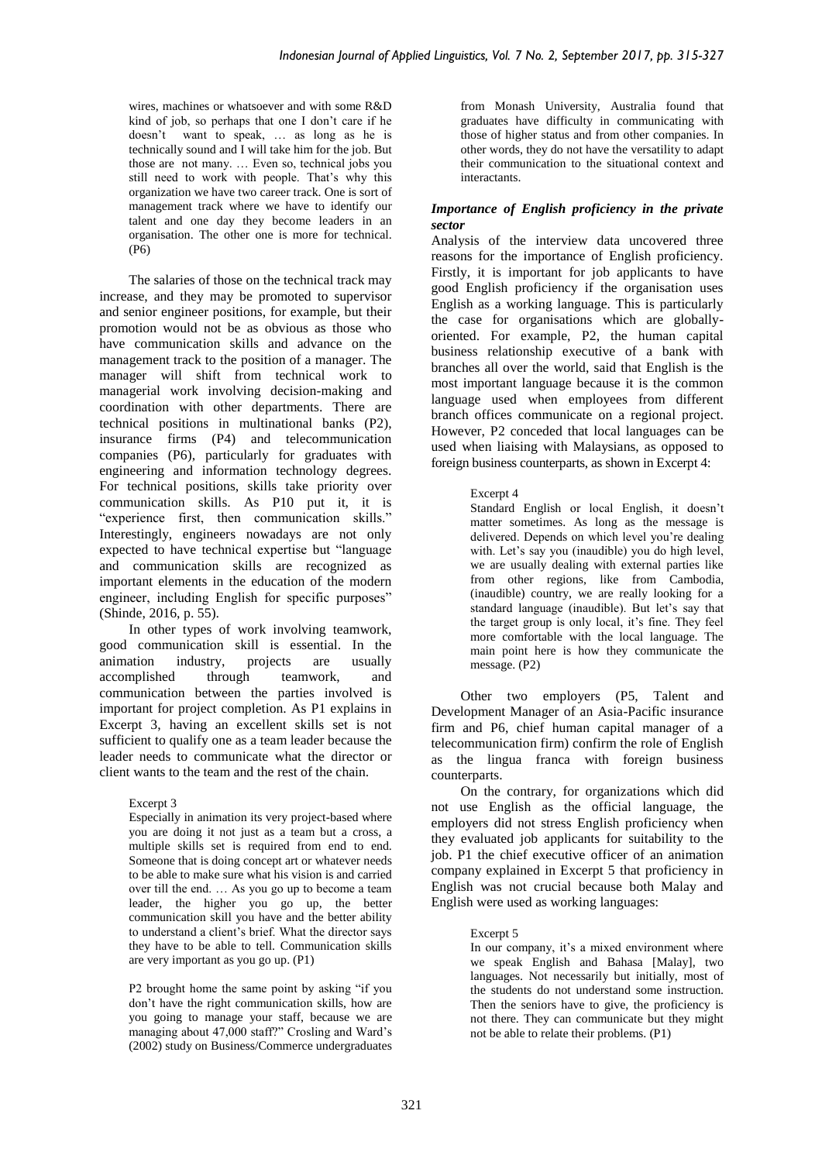wires, machines or whatsoever and with some R&D kind of job, so perhaps that one I don't care if he doesn't want to speak, … as long as he is technically sound and I will take him for the job. But those are not many. … Even so, technical jobs you still need to work with people. That's why this organization we have two career track. One is sort of management track where we have to identify our talent and one day they become leaders in an organisation. The other one is more for technical. (P6)

The salaries of those on the technical track may increase, and they may be promoted to supervisor and senior engineer positions, for example, but their promotion would not be as obvious as those who have communication skills and advance on the management track to the position of a manager. The manager will shift from technical work to managerial work involving decision-making and coordination with other departments. There are technical positions in multinational banks (P2), insurance firms (P4) and telecommunication companies (P6), particularly for graduates with engineering and information technology degrees. For technical positions, skills take priority over communication skills. As P10 put it, it is "experience first, then communication skills." Interestingly, engineers nowadays are not only expected to have technical expertise but "language and communication skills are recognized as important elements in the education of the modern engineer, including English for specific purposes" (Shinde, 2016, p. 55).

In other types of work involving teamwork, good communication skill is essential. In the animation industry, projects are usually accomplished through teamwork, and communication between the parties involved is important for project completion. As P1 explains in Excerpt 3, having an excellent skills set is not sufficient to qualify one as a team leader because the leader needs to communicate what the director or client wants to the team and the rest of the chain.

### Excerpt 3

Especially in animation its very project-based where you are doing it not just as a team but a cross, a multiple skills set is required from end to end. Someone that is doing concept art or whatever needs to be able to make sure what his vision is and carried over till the end. … As you go up to become a team leader, the higher you go up, the better communication skill you have and the better ability to understand a client's brief. What the director says they have to be able to tell. Communication skills are very important as you go up. (P1)

P2 brought home the same point by asking "if you don't have the right communication skills, how are you going to manage your staff, because we are managing about 47,000 staff?" Crosling and Ward's (2002) study on Business/Commerce undergraduates from Monash University, Australia found that graduates have difficulty in communicating with those of higher status and from other companies. In other words, they do not have the versatility to adapt their communication to the situational context and interactants.

### *Importance of English proficiency in the private sector*

Analysis of the interview data uncovered three reasons for the importance of English proficiency. Firstly, it is important for job applicants to have good English proficiency if the organisation uses English as a working language. This is particularly the case for organisations which are globallyoriented. For example, P2, the human capital business relationship executive of a bank with branches all over the world, said that English is the most important language because it is the common language used when employees from different branch offices communicate on a regional project. However, P2 conceded that local languages can be used when liaising with Malaysians, as opposed to foreign business counterparts, as shown in Excerpt 4:

# Excerpt 4

Standard English or local English, it doesn't matter sometimes. As long as the message is delivered. Depends on which level you're dealing with. Let's say you (inaudible) you do high level, we are usually dealing with external parties like from other regions, like from Cambodia, (inaudible) country, we are really looking for a standard language (inaudible). But let's say that the target group is only local, it's fine. They feel more comfortable with the local language. The main point here is how they communicate the message. (P2)

Other two employers (P5, Talent and Development Manager of an Asia-Pacific insurance firm and P6, chief human capital manager of a telecommunication firm) confirm the role of English as the lingua franca with foreign business counterparts.

On the contrary, for organizations which did not use English as the official language, the employers did not stress English proficiency when they evaluated job applicants for suitability to the job. P1 the chief executive officer of an animation company explained in Excerpt 5 that proficiency in English was not crucial because both Malay and English were used as working languages:

# Excerpt 5

In our company, it's a mixed environment where we speak English and Bahasa [Malay], two languages. Not necessarily but initially, most of the students do not understand some instruction. Then the seniors have to give, the proficiency is not there. They can communicate but they might not be able to relate their problems. (P1)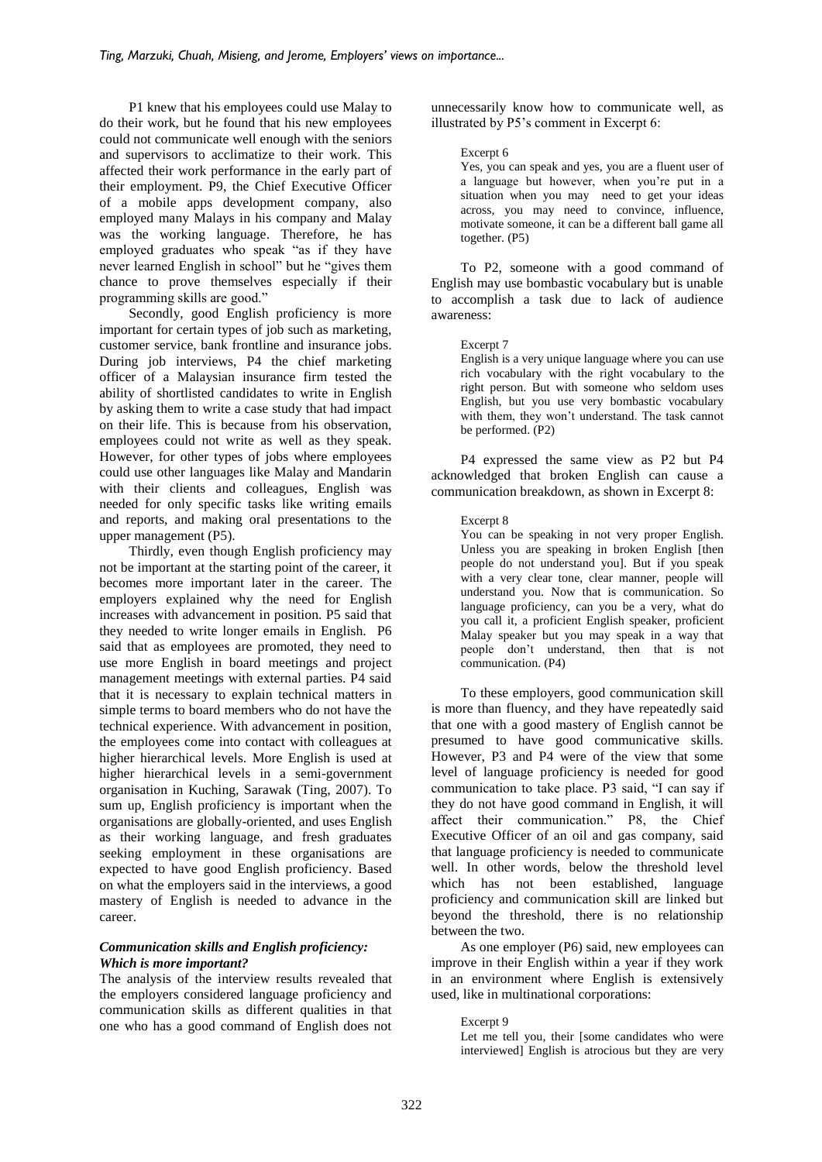P1 knew that his employees could use Malay to do their work, but he found that his new employees could not communicate well enough with the seniors and supervisors to acclimatize to their work. This affected their work performance in the early part of their employment. P9, the Chief Executive Officer of a mobile apps development company, also employed many Malays in his company and Malay was the working language. Therefore, he has employed graduates who speak "as if they have never learned English in school" but he "gives them chance to prove themselves especially if their programming skills are good."

Secondly, good English proficiency is more important for certain types of job such as marketing, customer service, bank frontline and insurance jobs. During job interviews, P4 the chief marketing officer of a Malaysian insurance firm tested the ability of shortlisted candidates to write in English by asking them to write a case study that had impact on their life. This is because from his observation, employees could not write as well as they speak. However, for other types of jobs where employees could use other languages like Malay and Mandarin with their clients and colleagues, English was needed for only specific tasks like writing emails and reports, and making oral presentations to the upper management (P5).

Thirdly, even though English proficiency may not be important at the starting point of the career, it becomes more important later in the career. The employers explained why the need for English increases with advancement in position. P5 said that they needed to write longer emails in English. P6 said that as employees are promoted, they need to use more English in board meetings and project management meetings with external parties. P4 said that it is necessary to explain technical matters in simple terms to board members who do not have the technical experience. With advancement in position, the employees come into contact with colleagues at higher hierarchical levels. More English is used at higher hierarchical levels in a semi-government organisation in Kuching, Sarawak (Ting, 2007). To sum up, English proficiency is important when the organisations are globally-oriented, and uses English as their working language, and fresh graduates seeking employment in these organisations are expected to have good English proficiency. Based on what the employers said in the interviews, a good mastery of English is needed to advance in the career.

### *Communication skills and English proficiency: Which is more important?*

The analysis of the interview results revealed that the employers considered language proficiency and communication skills as different qualities in that one who has a good command of English does not unnecessarily know how to communicate well, as illustrated by P5's comment in Excerpt 6:

#### Excerpt 6

Yes, you can speak and yes, you are a fluent user of a language but however, when you're put in a situation when you may need to get your ideas across, you may need to convince, influence, motivate someone, it can be a different ball game all together. (P5)

To P2, someone with a good command of English may use bombastic vocabulary but is unable to accomplish a task due to lack of audience awareness:

### Excerpt 7

English is a very unique language where you can use rich vocabulary with the right vocabulary to the right person. But with someone who seldom uses English, but you use very bombastic vocabulary with them, they won't understand. The task cannot be performed. (P2)

P4 expressed the same view as P2 but P4 acknowledged that broken English can cause a communication breakdown, as shown in Excerpt 8:

### Excerpt 8

You can be speaking in not very proper English. Unless you are speaking in broken English [then people do not understand you]. But if you speak with a very clear tone, clear manner, people will understand you. Now that is communication. So language proficiency, can you be a very, what do you call it, a proficient English speaker, proficient Malay speaker but you may speak in a way that people don't understand, then that is not communication. (P4)

To these employers, good communication skill is more than fluency, and they have repeatedly said that one with a good mastery of English cannot be presumed to have good communicative skills. However, P3 and P4 were of the view that some level of language proficiency is needed for good communication to take place. P3 said, "I can say if they do not have good command in English, it will affect their communication." P8, the Chief Executive Officer of an oil and gas company, said that language proficiency is needed to communicate well. In other words, below the threshold level which has not been established, language proficiency and communication skill are linked but beyond the threshold, there is no relationship between the two.

As one employer (P6) said, new employees can improve in their English within a year if they work in an environment where English is extensively used, like in multinational corporations:

#### Excerpt 9

Let me tell you, their [some candidates who were interviewed] English is atrocious but they are very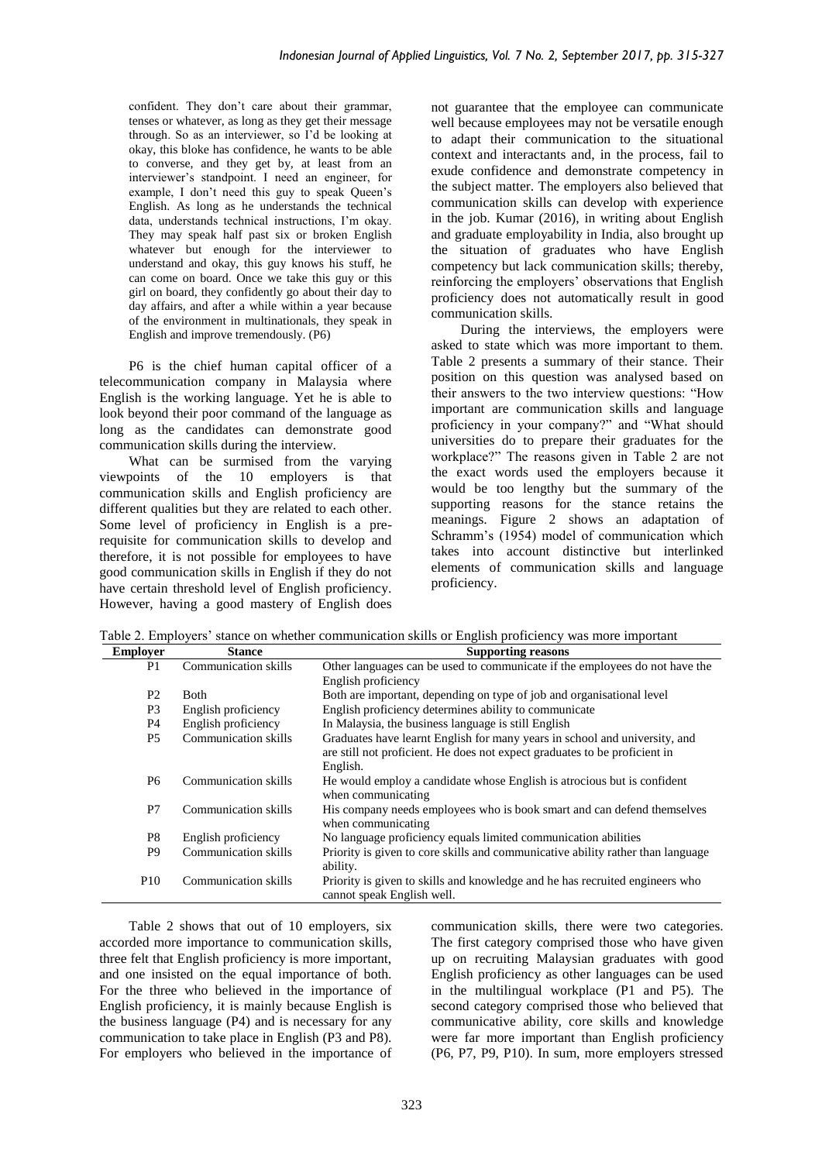confident. They don't care about their grammar, tenses or whatever, as long as they get their message through. So as an interviewer, so I'd be looking at okay, this bloke has confidence, he wants to be able to converse, and they get by, at least from an interviewer's standpoint. I need an engineer, for example, I don't need this guy to speak Queen's English. As long as he understands the technical data, understands technical instructions, I'm okay. They may speak half past six or broken English whatever but enough for the interviewer to understand and okay, this guy knows his stuff, he can come on board. Once we take this guy or this girl on board, they confidently go about their day to day affairs, and after a while within a year because of the environment in multinationals, they speak in English and improve tremendously. (P6)

P6 is the chief human capital officer of a telecommunication company in Malaysia where English is the working language. Yet he is able to look beyond their poor command of the language as long as the candidates can demonstrate good communication skills during the interview.

What can be surmised from the varying viewpoints of the 10 employers is that communication skills and English proficiency are different qualities but they are related to each other. Some level of proficiency in English is a prerequisite for communication skills to develop and therefore, it is not possible for employees to have good communication skills in English if they do not have certain threshold level of English proficiency. However, having a good mastery of English does

not guarantee that the employee can communicate well because employees may not be versatile enough to adapt their communication to the situational context and interactants and, in the process, fail to exude confidence and demonstrate competency in the subject matter. The employers also believed that communication skills can develop with experience in the job. Kumar (2016), in writing about English and graduate employability in India, also brought up the situation of graduates who have English competency but lack communication skills; thereby, reinforcing the employers' observations that English proficiency does not automatically result in good communication skills.

During the interviews, the employers were asked to state which was more important to them. Table 2 presents a summary of their stance. Their position on this question was analysed based on their answers to the two interview questions: "How important are communication skills and language proficiency in your company?" and "What should universities do to prepare their graduates for the workplace?" The reasons given in Table 2 are not the exact words used the employers because it would be too lengthy but the summary of the supporting reasons for the stance retains the meanings. Figure 2 shows an adaptation of Schramm's (1954) model of communication which takes into account distinctive but interlinked elements of communication skills and language proficiency.

Table 2. Employers' stance on whether communication skills or English proficiency was more important

| <b>Employer</b> | <b>Stance</b>        | <b>Supporting reasons</b>                                                       |
|-----------------|----------------------|---------------------------------------------------------------------------------|
| P1              | Communication skills | Other languages can be used to communicate if the employees do not have the     |
|                 |                      | English proficiency                                                             |
| P <sub>2</sub>  | <b>B</b> oth         | Both are important, depending on type of job and organisational level           |
| P <sub>3</sub>  | English proficiency  | English proficiency determines ability to communicate                           |
| <b>P4</b>       | English proficiency  | In Malaysia, the business language is still English                             |
| P <sub>5</sub>  | Communication skills | Graduates have learnt English for many years in school and university, and      |
|                 |                      | are still not proficient. He does not expect graduates to be proficient in      |
|                 |                      | English.                                                                        |
| <b>P6</b>       | Communication skills | He would employ a candidate whose English is atrocious but is confident         |
|                 |                      | when communicating                                                              |
| P7              | Communication skills | His company needs employees who is book smart and can defend themselves         |
|                 |                      | when communicating                                                              |
| P8              | English proficiency  | No language proficiency equals limited communication abilities                  |
| P <sub>9</sub>  | Communication skills | Priority is given to core skills and communicative ability rather than language |
|                 |                      | ability.                                                                        |
| P <sub>10</sub> | Communication skills | Priority is given to skills and knowledge and he has recruited engineers who    |
|                 |                      | cannot speak English well.                                                      |

Table 2 shows that out of 10 employers, six accorded more importance to communication skills, three felt that English proficiency is more important, and one insisted on the equal importance of both. For the three who believed in the importance of English proficiency, it is mainly because English is the business language (P4) and is necessary for any communication to take place in English (P3 and P8). For employers who believed in the importance of

communication skills, there were two categories. The first category comprised those who have given up on recruiting Malaysian graduates with good English proficiency as other languages can be used in the multilingual workplace (P1 and P5). The second category comprised those who believed that communicative ability, core skills and knowledge were far more important than English proficiency (P6, P7, P9, P10). In sum, more employers stressed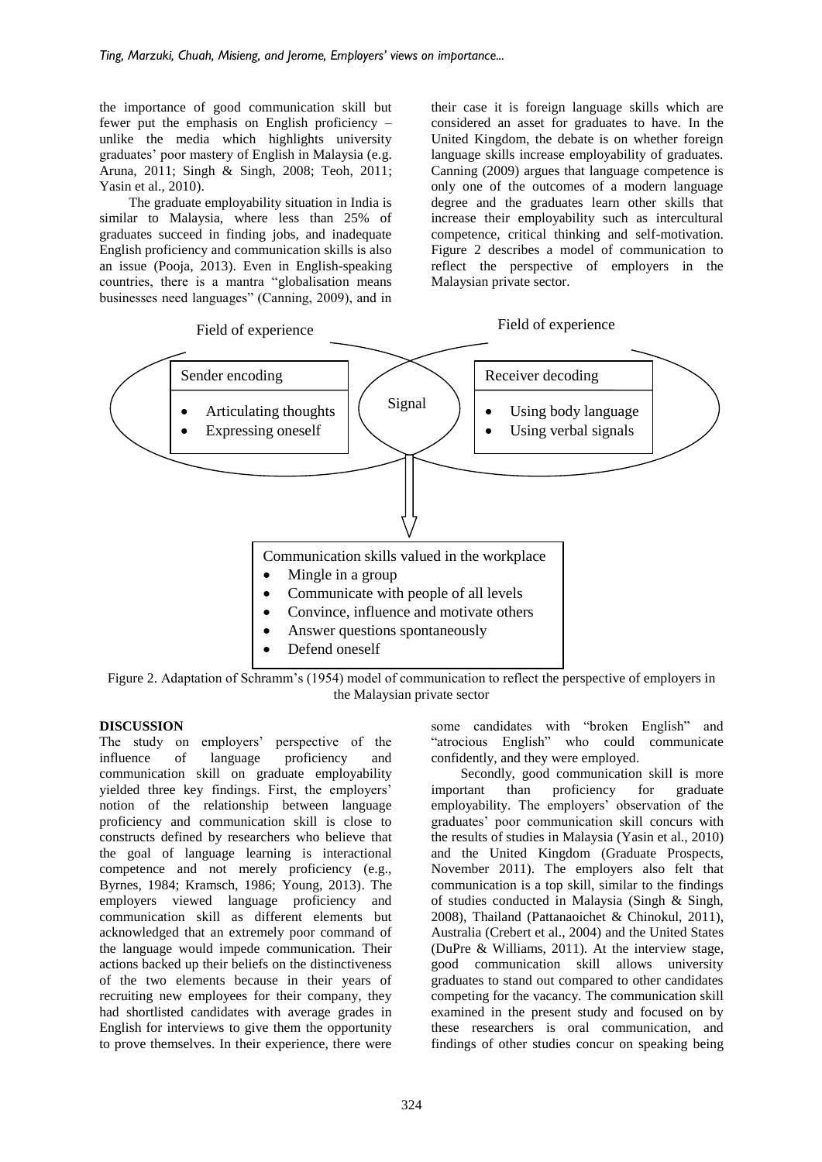the importance of good communication skill but fewer put the emphasis on English proficiency – unlike the media which highlights university graduates' poor mastery of English in Malaysia (e.g. Aruna, 2011; Singh & Singh, 2008; Teoh, 2011; Yasin et al., 2010).

The graduate employability situation in India is similar to Malaysia, where less than 25% of graduates succeed in finding jobs, and inadequate English proficiency and communication skills is also an issue (Pooja, 2013). Even in English-speaking countries, there is a mantra "globalisation means businesses need languages" (Canning, 2009), and in

their case it is foreign language skills which are considered an asset for graduates to have. In the United Kingdom, the debate is on whether foreign language skills increase employability of graduates. Canning (2009) argues that language competence is only one of the outcomes of a modern language degree and the graduates learn other skills that increase their employability such as intercultural competence, critical thinking and self-motivation. Figure 2 describes a model of communication to reflect the perspective of employers in the Malaysian private sector.



Figure 2. Adaptation of Schramm's (1954) model of communication to reflect the perspective of employers in the Malaysian private sector

# **DISCUSSION**

The study on employers' perspective of the influence of language proficiency and communication skill on graduate employability yielded three key findings. First, the employers' notion of the relationship between language proficiency and communication skill is close to constructs defined by researchers who believe that the goal of language learning is interactional competence and not merely proficiency (e.g., Byrnes, 1984; Kramsch, 1986; Young, 2013). The employers viewed language proficiency and communication skill as different elements but acknowledged that an extremely poor command of the language would impede communication. Their actions backed up their beliefs on the distinctiveness of the two elements because in their years of recruiting new employees for their company, they had shortlisted candidates with average grades in English for interviews to give them the opportunity to prove themselves. In their experience, there were

some candidates with "broken English" and "atrocious English" who could communicate confidently, and they were employed.

Secondly, good communication skill is more important than proficiency for graduate employability. The employers' observation of the graduates' poor communication skill concurs with the results of studies in Malaysia (Yasin et al., 2010) and the United Kingdom (Graduate Prospects, November 2011). The employers also felt that communication is a top skill, similar to the findings of studies conducted in Malaysia (Singh & Singh, 2008), Thailand (Pattanaoichet & Chinokul, 2011), Australia (Crebert et al., 2004) and the United States (DuPre & Williams, 2011). At the interview stage, good communication skill allows university graduates to stand out compared to other candidates competing for the vacancy. The communication skill examined in the present study and focused on by these researchers is oral communication, and findings of other studies concur on speaking being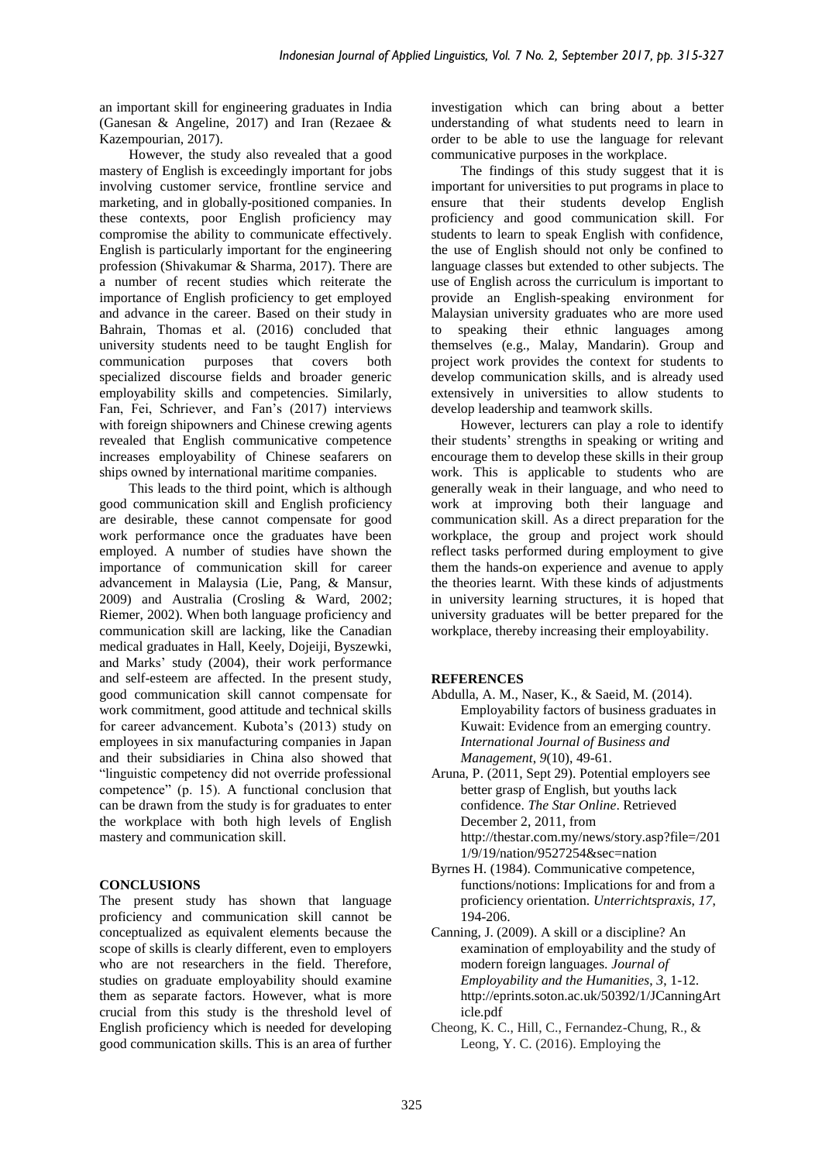an important skill for engineering graduates in India (Ganesan & Angeline, 2017) and Iran (Rezaee & Kazempourian, 2017).

However, the study also revealed that a good mastery of English is exceedingly important for jobs involving customer service, frontline service and marketing, and in globally-positioned companies. In these contexts, poor English proficiency may compromise the ability to communicate effectively. English is particularly important for the engineering profession (Shivakumar & Sharma, 2017). There are a number of recent studies which reiterate the importance of English proficiency to get employed and advance in the career. Based on their study in Bahrain, Thomas et al. (2016) concluded that university students need to be taught English for communication purposes that covers both specialized discourse fields and broader generic employability skills and competencies. Similarly, Fan, Fei, Schriever, and Fan's (2017) interviews with foreign shipowners and Chinese crewing agents revealed that English communicative competence increases employability of Chinese seafarers on ships owned by international maritime companies.

This leads to the third point, which is although good communication skill and English proficiency are desirable, these cannot compensate for good work performance once the graduates have been employed. A number of studies have shown the importance of communication skill for career advancement in Malaysia (Lie, Pang, & Mansur, 2009) and Australia (Crosling & Ward, 2002; Riemer, 2002). When both language proficiency and communication skill are lacking, like the Canadian medical graduates in Hall, Keely, Dojeiji, Byszewki, and Marks' study (2004), their work performance and self-esteem are affected. In the present study, good communication skill cannot compensate for work commitment, good attitude and technical skills for career advancement. Kubota's (2013) study on employees in six manufacturing companies in Japan and their subsidiaries in China also showed that "linguistic competency did not override professional competence" (p. 15). A functional conclusion that can be drawn from the study is for graduates to enter the workplace with both high levels of English mastery and communication skill.

# **CONCLUSIONS**

The present study has shown that language proficiency and communication skill cannot be conceptualized as equivalent elements because the scope of skills is clearly different, even to employers who are not researchers in the field. Therefore, studies on graduate employability should examine them as separate factors. However, what is more crucial from this study is the threshold level of English proficiency which is needed for developing good communication skills. This is an area of further investigation which can bring about a better understanding of what students need to learn in order to be able to use the language for relevant communicative purposes in the workplace.

The findings of this study suggest that it is important for universities to put programs in place to ensure that their students develop English proficiency and good communication skill. For students to learn to speak English with confidence, the use of English should not only be confined to language classes but extended to other subjects. The use of English across the curriculum is important to provide an English-speaking environment for Malaysian university graduates who are more used to speaking their ethnic languages among themselves (e.g., Malay, Mandarin). Group and project work provides the context for students to develop communication skills, and is already used extensively in universities to allow students to develop leadership and teamwork skills.

However, lecturers can play a role to identify their students' strengths in speaking or writing and encourage them to develop these skills in their group work. This is applicable to students who are generally weak in their language, and who need to work at improving both their language and communication skill. As a direct preparation for the workplace, the group and project work should reflect tasks performed during employment to give them the hands-on experience and avenue to apply the theories learnt. With these kinds of adjustments in university learning structures, it is hoped that university graduates will be better prepared for the workplace, thereby increasing their employability.

### **REFERENCES**

- Abdulla, A. M., Naser, K., & Saeid, M. (2014). Employability factors of business graduates in Kuwait: Evidence from an emerging country. *International Journal of Business and Management*, *9*(10), 49-61.
- Aruna, P. (2011, Sept 29). Potential employers see better grasp of English, but youths lack confidence. *The Star Online*. Retrieved December 2, 2011, from [http://thestar.com.my/news/story.asp?file=/201](http://thestar.com.my/news/story.asp?file=/2011/9/19/nation/9527254&sec=nation) [1/9/19/nation/9527254&sec=nation](http://thestar.com.my/news/story.asp?file=/2011/9/19/nation/9527254&sec=nation)
- Byrnes H. (1984). Communicative competence, functions/notions: Implications for and from a proficiency orientation. *Unterrichtspraxis*, *17*, 194-206.
- Canning, J. (2009). A skill or a discipline? An examination of employability and the study of modern foreign languages. *Journal of Employability and the Humanities*, *3*, 1-12. [http://eprints.soton.ac.uk/50392/1/JCanningArt](http://eprints.soton.ac.uk/50392/1/JCanningArticle.pdf) [icle.pdf](http://eprints.soton.ac.uk/50392/1/JCanningArticle.pdf)
- Cheong, K. C., Hill, C., Fernandez-Chung, R., & Leong, Y. C. (2016). Employing the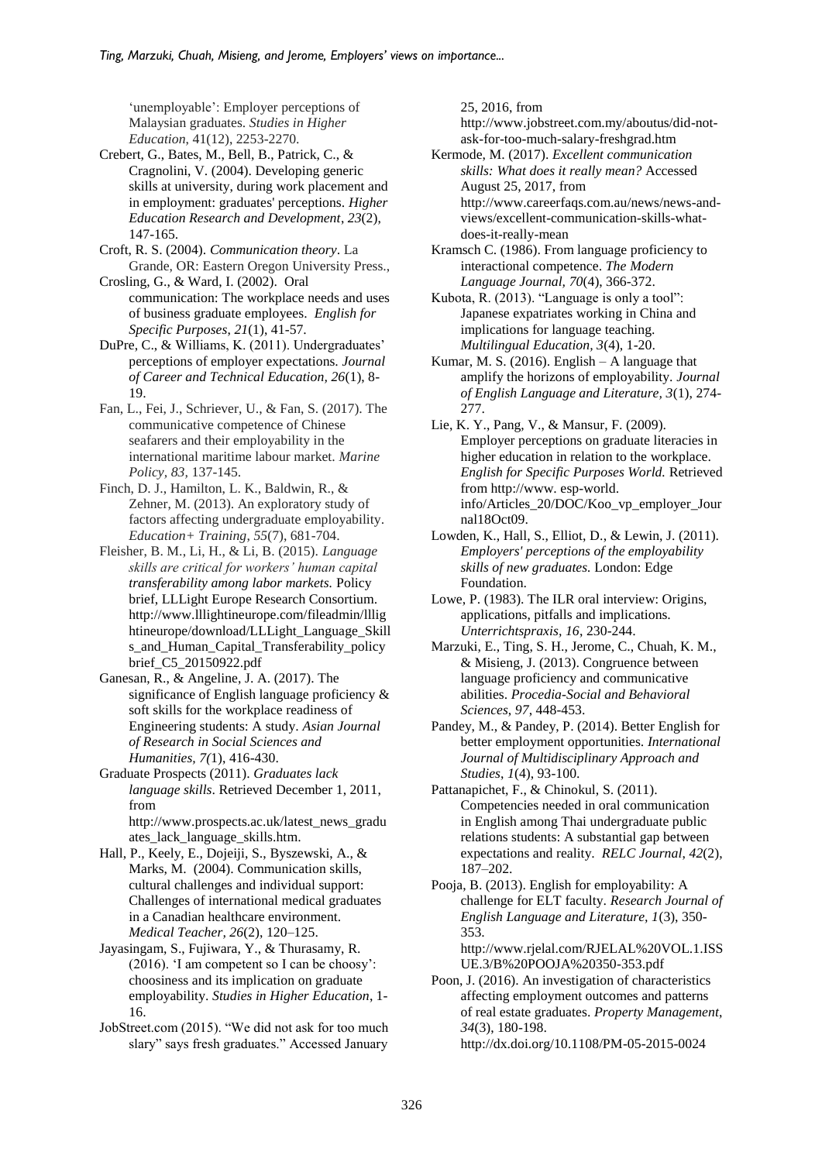'unemployable': Employer perceptions of Malaysian graduates. *Studies in Higher Education*, 41(12), 2253-2270.

Crebert, G., Bates, M., Bell, B., Patrick, C., & Cragnolini, V. (2004). Developing generic skills at university, during work placement and in employment: graduates' perceptions. *Higher Education Research and Development*, *23*(2), 147-165.

- Croft, R. S. (2004). *Communication theory*. La Grande, OR: Eastern Oregon University Press.,
- Crosling, G., & Ward, I. (2002). Oral communication: The workplace needs and uses of business graduate employees. *English for Specific Purposes*, *21*(1), 41-57.

DuPre, C., & Williams, K. (2011). Undergraduates' perceptions of employer expectations. *Journal of Career and Technical Education, 26*(1), 8- 19.

- Fan, L., Fei, J., Schriever, U., & Fan, S. (2017). The communicative competence of Chinese seafarers and their employability in the international maritime labour market. *Marine Policy, 83,* 137-145.
- Finch, D. J., Hamilton, L. K., Baldwin, R., & Zehner, M. (2013). An exploratory study of factors affecting undergraduate employability. *Education+ Training*, *55*(7), 681-704.

Fleisher, B. M., Li, H., & Li, B. (2015). *Language skills are critical for workers' human capital transferability among labor markets.* Policy brief, LLLight Europe Research Consortium. http://www.lllightineurope.com/fileadmin/lllig htineurope/download/LLLight\_Language\_Skill s\_and\_Human\_Capital\_Transferability\_policy brief\_C5\_20150922.pdf

Ganesan, R., & Angeline, J. A. (2017). The significance of English language proficiency & soft skills for the workplace readiness of Engineering students: A study. *Asian Journal of Research in Social Sciences and Humanities, 7(*1), 416-430.

Graduate Prospects (2011). *Graduates lack language skills*. Retrieved December 1, 2011, from

http://www.prospects.ac.uk/latest\_news\_gradu ates\_lack\_language\_skills.htm.

Hall, P., Keely, E., Dojeiji, S., Byszewski, A., & Marks, M. (2004). Communication skills, cultural challenges and individual support: Challenges of international medical graduates in a Canadian healthcare environment. *Medical Teacher, 26*(2), 120–125.

Jayasingam, S., Fujiwara, Y., & Thurasamy, R. (2016). 'I am competent so I can be choosy': choosiness and its implication on graduate employability. *Studies in Higher Education*, 1- 16.

JobStreet.com (2015). "We did not ask for too much slary" says fresh graduates." Accessed January

25, 2016, from

http://www.jobstreet.com.my/aboutus/did-notask-for-too-much-salary-freshgrad.htm

- Kermode, M. (2017). *Excellent communication skills: What does it really mean?* Accessed August 25, 2017, from http://www.careerfaqs.com.au/news/news-andviews/excellent-communication-skills-whatdoes-it-really-mean
- Kramsch C. (1986). From language proficiency to interactional competence. *The Modern Language Journal, 70*(4), 366-372.

Kubota, R. (2013). "Language is only a tool": Japanese expatriates working in China and implications for language teaching. *Multilingual Education, 3*(4), 1-20.

Kumar, M. S. (2016). English – A language that amplify the horizons of employability. *Journal of English Language and Literature, 3*(1), 274- 277.

Lie, K. Y., Pang, V., & Mansur, F. (2009). Employer perceptions on graduate literacies in higher education in relation to the workplace. *English for Specific Purposes World.* Retrieved from http://www. esp-world. info/Articles\_20/DOC/Koo\_vp\_employer\_Jour nal18Oct09.

- Lowden, K., Hall, S., Elliot, D., & Lewin, J. (2011). *Employers' perceptions of the employability skills of new graduates.* London: Edge Foundation.
- Lowe, P. (1983). The ILR oral interview: Origins, applications, pitfalls and implications. *Unterrichtspraxis, 16*, 230-244.

Marzuki, E., Ting, S. H., Jerome, C., Chuah, K. M., & Misieng, J. (2013). Congruence between language proficiency and communicative abilities. *Procedia-Social and Behavioral Sciences*, *97*, 448-453.

- Pandey, M., & Pandey, P. (2014). Better English for better employment opportunities. *International Journal of Multidisciplinary Approach and Studies*, *1*(4), 93-100.
- Pattanapichet, F., & Chinokul, S. (2011). Competencies needed in oral communication in English among Thai undergraduate public relations students: A substantial gap between expectations and reality. *RELC Journal*, *42*(2), 187–202.

Pooja, B. (2013). English for employability: A challenge for ELT faculty. *Research Journal of English Language and Literature, 1*(3), 350- 353. [http://www.rjelal.com/RJELAL%20VOL.1.ISS](http://www.rjelal.com/RJELAL%20VOL.1.ISSUE.3/B%20POOJA%20350-353.pdf)

[UE.3/B%20POOJA%20350-353.pdf](http://www.rjelal.com/RJELAL%20VOL.1.ISSUE.3/B%20POOJA%20350-353.pdf) Poon, J. (2016). An investigation of characteristics affecting employment outcomes and patterns of real estate graduates. *Property Management*, *34*(3), 180-198.

http://dx.doi.org/10.1108/PM-05-2015-0024